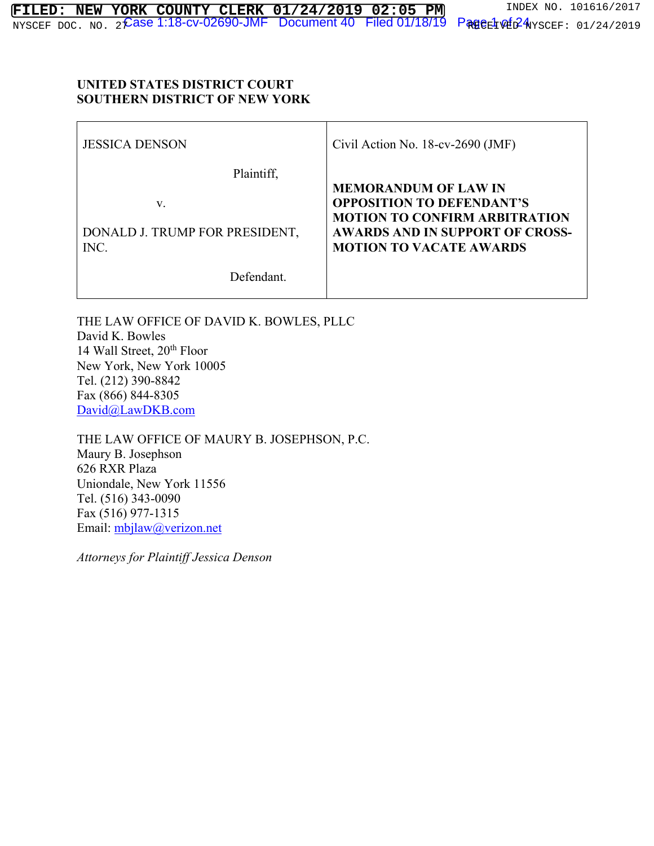#### **UNITED STATES DISTRICT COURT SOUTHERN DISTRICT OF NEW YORK**

| <b>JESSICA DENSON</b>                  | Civil Action No. $18$ -cv-2690 (JMF)                                     |
|----------------------------------------|--------------------------------------------------------------------------|
| Plaintiff,                             | <b>MEMORANDUM OF LAW IN</b>                                              |
| v.                                     | <b>OPPOSITION TO DEFENDANT'S</b><br><b>MOTION TO CONFIRM ARBITRATION</b> |
| DONALD J. TRUMP FOR PRESIDENT,<br>INC. | <b>AWARDS AND IN SUPPORT OF CROSS-</b><br><b>MOTION TO VACATE AWARDS</b> |
| Defendant.                             |                                                                          |

 $\mathbf{I}$ 

THE LAW OFFICE OF DAVID K. BOWLES, PLLC David K. Bowles 14 Wall Street, 20<sup>th</sup> Floor New York, New York 10005 Tel. (212) 390-8842 Fax (866) 844-8305 David@LawDKB.com

THE LAW OFFICE OF MAURY B. JOSEPHSON, P.C. Maury B. Josephson 626 RXR Plaza Uniondale, New York 11556 Tel. (516) 343-0090 Fax (516) 977-1315 Email: mbjlaw@verizon.net

*Attorneys for Plaintiff Jessica Denson*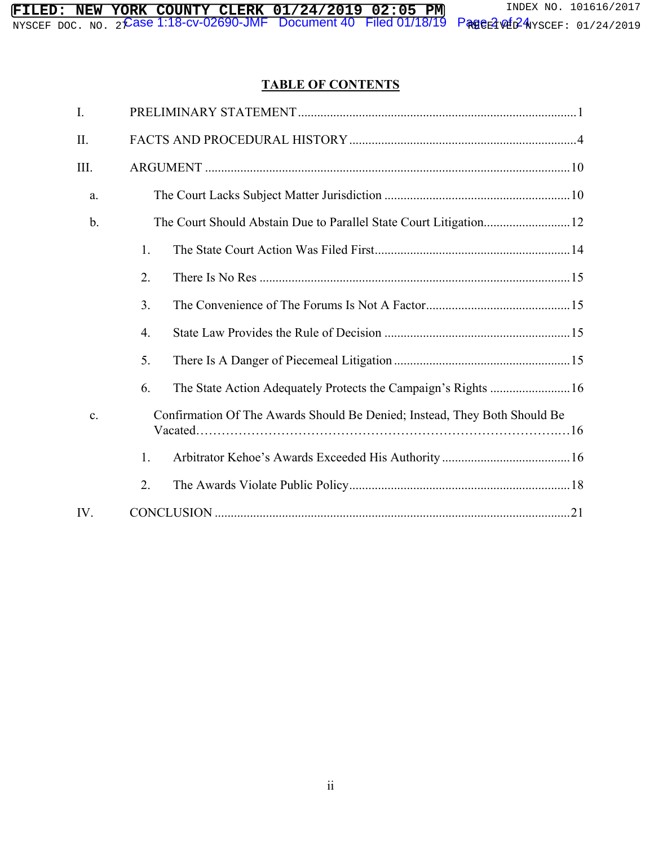# **TABLE OF CONTENTS**

| I.   |    |                                                                           |
|------|----|---------------------------------------------------------------------------|
| II.  |    |                                                                           |
| III. |    |                                                                           |
| a.   |    |                                                                           |
| b.   |    |                                                                           |
|      | 1. |                                                                           |
|      | 2. |                                                                           |
|      | 3. |                                                                           |
|      | 4. |                                                                           |
|      | 5. |                                                                           |
|      | 6. | The State Action Adequately Protects the Campaign's Rights  16            |
| c.   |    | Confirmation Of The Awards Should Be Denied; Instead, They Both Should Be |
|      | 1. |                                                                           |
|      | 2. |                                                                           |
| IV.  |    |                                                                           |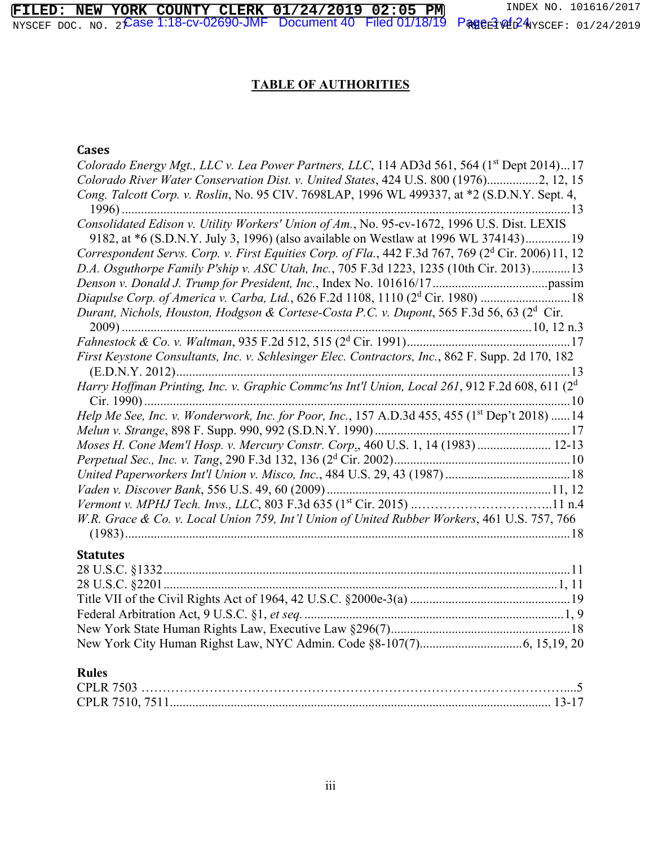$\widehat{\textsf{G}}$ ase 1:18-cv-02690-JMF  $\;$  Document 40  $\;$  Filed 01/18/19  $\;$  Pageವೆ of 24 **FILED: NEW YORK COUNTY CLERK 01/24/2019 02:05 PM** INDEX NO. 101616/2017 NYSCEF DOC. NO. 22**ASE I.I8-CV-UZ69U-JMF DOCUMENI4U FIIECI UI/I8/I9 PRHOELPME**NSCEF: 01/24/2019

# **TABLE OF AUTHORITIES**

# **Cases**

| Colorado Energy Mgt., LLC v. Lea Power Partners, LLC, 114 AD3d 561, 564 (1 <sup>st</sup> Dept 2014)17      |
|------------------------------------------------------------------------------------------------------------|
| Colorado River Water Conservation Dist. v. United States, 424 U.S. 800 (1976)2, 12, 15                     |
| Cong. Talcott Corp. v. Roslin, No. 95 CIV. 7698LAP, 1996 WL 499337, at *2 (S.D.N.Y. Sept. 4,               |
| . 13                                                                                                       |
| Consolidated Edison v. Utility Workers' Union of Am., No. 95-cv-1672, 1996 U.S. Dist. LEXIS                |
| 9182, at *6 (S.D.N.Y. July 3, 1996) (also available on Westlaw at 1996 WL 374143)19                        |
| Correspondent Servs. Corp. v. First Equities Corp. of Fla., 442 F.3d 767, 769 ( $2d$ Cir. 2006) 11, 12     |
| D.A. Osguthorpe Family P'ship v. ASC Utah, Inc., 705 F.3d 1223, 1235 (10th Cir. 2013)13                    |
|                                                                                                            |
|                                                                                                            |
| Durant, Nichols, Houston, Hodgson & Cortese-Costa P.C. v. Dupont, 565 F.3d 56, 63 (2 <sup>d</sup> Cir.     |
|                                                                                                            |
|                                                                                                            |
| First Keystone Consultants, Inc. v. Schlesinger Elec. Contractors, Inc., 862 F. Supp. 2d 170, 182          |
| 13                                                                                                         |
| Harry Hoffman Printing, Inc. v. Graphic Commc'ns Int'l Union, Local 261, 912 F.2d 608, 611 (2 <sup>d</sup> |
|                                                                                                            |
| Help Me See, Inc. v. Wonderwork, Inc. for Poor, Inc., 157 A.D.3d 455, 455 (1 <sup>st</sup> Dep't 2018)  14 |
|                                                                                                            |
| Moses H. Cone Mem'l Hosp. v. Mercury Constr. Corp., 460 U.S. 1, 14 (1983) 12-13                            |
|                                                                                                            |
|                                                                                                            |
|                                                                                                            |
|                                                                                                            |
| W.R. Grace & Co. v. Local Union 759, Int'l Union of United Rubber Workers, 461 U.S. 757, 766               |
|                                                                                                            |

# **Statutes**

# **Rules**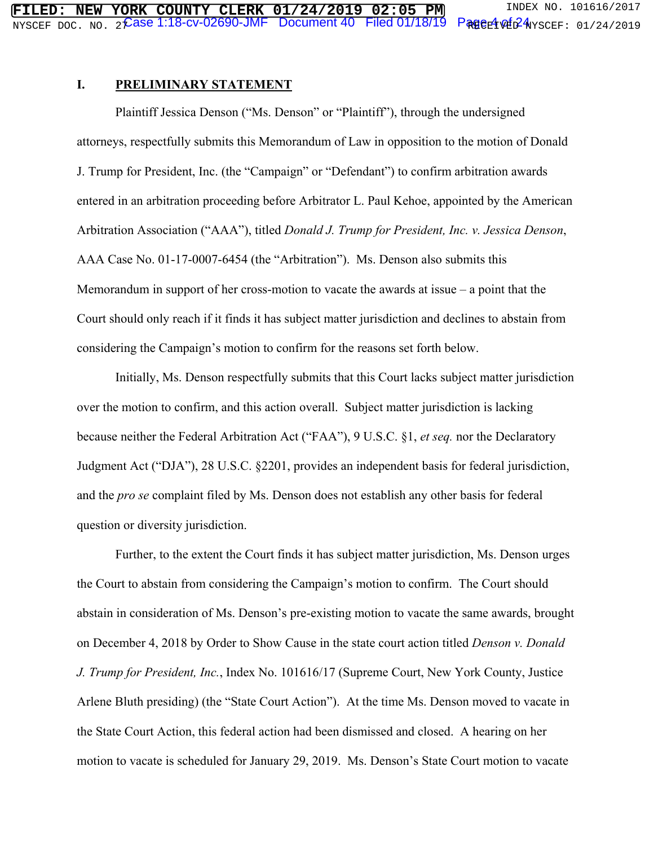#### **I. PRELIMINARY STATEMENT**

 Plaintiff Jessica Denson ("Ms. Denson" or "Plaintiff"), through the undersigned attorneys, respectfully submits this Memorandum of Law in opposition to the motion of Donald J. Trump for President, Inc. (the "Campaign" or "Defendant") to confirm arbitration awards entered in an arbitration proceeding before Arbitrator L. Paul Kehoe, appointed by the American Arbitration Association ("AAA"), titled *Donald J. Trump for President, Inc. v. Jessica Denson*, AAA Case No. 01-17-0007-6454 (the "Arbitration"). Ms. Denson also submits this Memorandum in support of her cross-motion to vacate the awards at issue – a point that the Court should only reach if it finds it has subject matter jurisdiction and declines to abstain from considering the Campaign's motion to confirm for the reasons set forth below.

 Initially, Ms. Denson respectfully submits that this Court lacks subject matter jurisdiction over the motion to confirm, and this action overall. Subject matter jurisdiction is lacking because neither the Federal Arbitration Act ("FAA"), 9 U.S.C. §1, *et seq.* nor the Declaratory Judgment Act ("DJA"), 28 U.S.C. §2201, provides an independent basis for federal jurisdiction, and the *pro se* complaint filed by Ms. Denson does not establish any other basis for federal question or diversity jurisdiction.

 Further, to the extent the Court finds it has subject matter jurisdiction, Ms. Denson urges the Court to abstain from considering the Campaign's motion to confirm. The Court should abstain in consideration of Ms. Denson's pre-existing motion to vacate the same awards, brought on December 4, 2018 by Order to Show Cause in the state court action titled *Denson v. Donald J. Trump for President, Inc.*, Index No. 101616/17 (Supreme Court, New York County, Justice Arlene Bluth presiding) (the "State Court Action"). At the time Ms. Denson moved to vacate in the State Court Action, this federal action had been dismissed and closed. A hearing on her motion to vacate is scheduled for January 29, 2019. Ms. Denson's State Court motion to vacate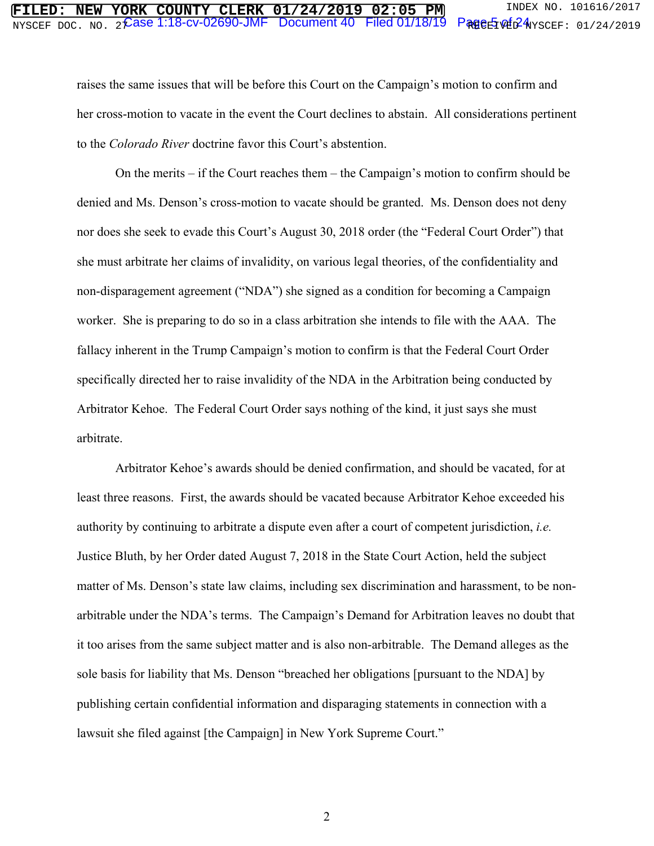# $2$  Case 1:18-cv-02690-JMF Document 40 Filed 01/18/19

raises the same issues that will be before this Court on the Campaign's motion to confirm and her cross-motion to vacate in the event the Court declines to abstain. All considerations pertinent to the *Colorado River* doctrine favor this Court's abstention.

 On the merits – if the Court reaches them – the Campaign's motion to confirm should be denied and Ms. Denson's cross-motion to vacate should be granted. Ms. Denson does not deny nor does she seek to evade this Court's August 30, 2018 order (the "Federal Court Order") that she must arbitrate her claims of invalidity, on various legal theories, of the confidentiality and non-disparagement agreement ("NDA") she signed as a condition for becoming a Campaign worker. She is preparing to do so in a class arbitration she intends to file with the AAA. The fallacy inherent in the Trump Campaign's motion to confirm is that the Federal Court Order specifically directed her to raise invalidity of the NDA in the Arbitration being conducted by Arbitrator Kehoe. The Federal Court Order says nothing of the kind, it just says she must arbitrate.

 Arbitrator Kehoe's awards should be denied confirmation, and should be vacated, for at least three reasons. First, the awards should be vacated because Arbitrator Kehoe exceeded his authority by continuing to arbitrate a dispute even after a court of competent jurisdiction, *i.e.* Justice Bluth, by her Order dated August 7, 2018 in the State Court Action, held the subject matter of Ms. Denson's state law claims, including sex discrimination and harassment, to be nonarbitrable under the NDA's terms. The Campaign's Demand for Arbitration leaves no doubt that it too arises from the same subject matter and is also non-arbitrable. The Demand alleges as the sole basis for liability that Ms. Denson "breached her obligations [pursuant to the NDA] by publishing certain confidential information and disparaging statements in connection with a lawsuit she filed against [the Campaign] in New York Supreme Court."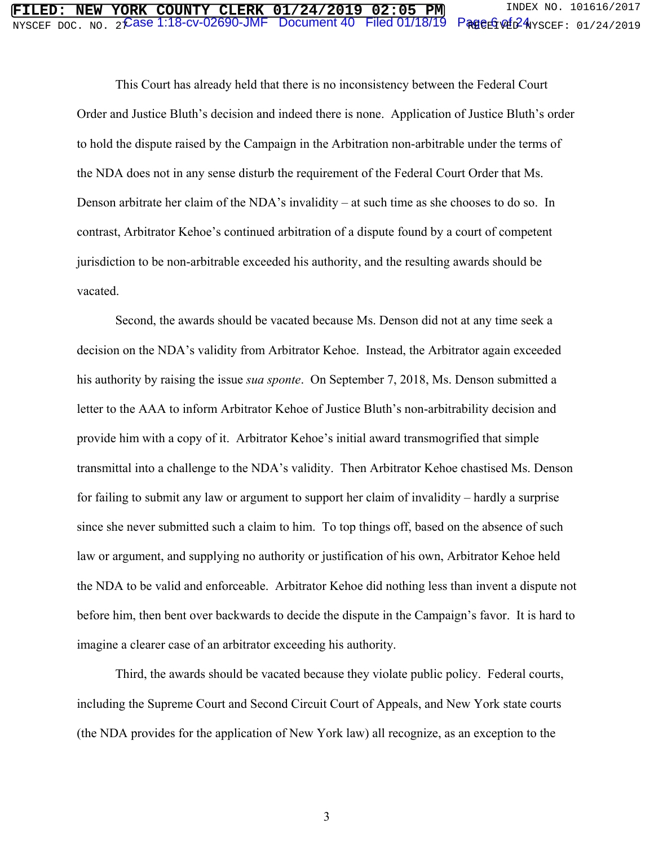# $2$  Case 1:18-cv-02690-JMF Document 40 Filed 01/18/19

 This Court has already held that there is no inconsistency between the Federal Court Order and Justice Bluth's decision and indeed there is none. Application of Justice Bluth's order to hold the dispute raised by the Campaign in the Arbitration non-arbitrable under the terms of the NDA does not in any sense disturb the requirement of the Federal Court Order that Ms. Denson arbitrate her claim of the NDA's invalidity – at such time as she chooses to do so. In contrast, Arbitrator Kehoe's continued arbitration of a dispute found by a court of competent jurisdiction to be non-arbitrable exceeded his authority, and the resulting awards should be vacated.

 Second, the awards should be vacated because Ms. Denson did not at any time seek a decision on the NDA's validity from Arbitrator Kehoe. Instead, the Arbitrator again exceeded his authority by raising the issue *sua sponte*. On September 7, 2018, Ms. Denson submitted a letter to the AAA to inform Arbitrator Kehoe of Justice Bluth's non-arbitrability decision and provide him with a copy of it. Arbitrator Kehoe's initial award transmogrified that simple transmittal into a challenge to the NDA's validity. Then Arbitrator Kehoe chastised Ms. Denson for failing to submit any law or argument to support her claim of invalidity – hardly a surprise since she never submitted such a claim to him. To top things off, based on the absence of such law or argument, and supplying no authority or justification of his own, Arbitrator Kehoe held the NDA to be valid and enforceable. Arbitrator Kehoe did nothing less than invent a dispute not before him, then bent over backwards to decide the dispute in the Campaign's favor. It is hard to imagine a clearer case of an arbitrator exceeding his authority.

 Third, the awards should be vacated because they violate public policy. Federal courts, including the Supreme Court and Second Circuit Court of Appeals, and New York state courts (the NDA provides for the application of New York law) all recognize, as an exception to the

3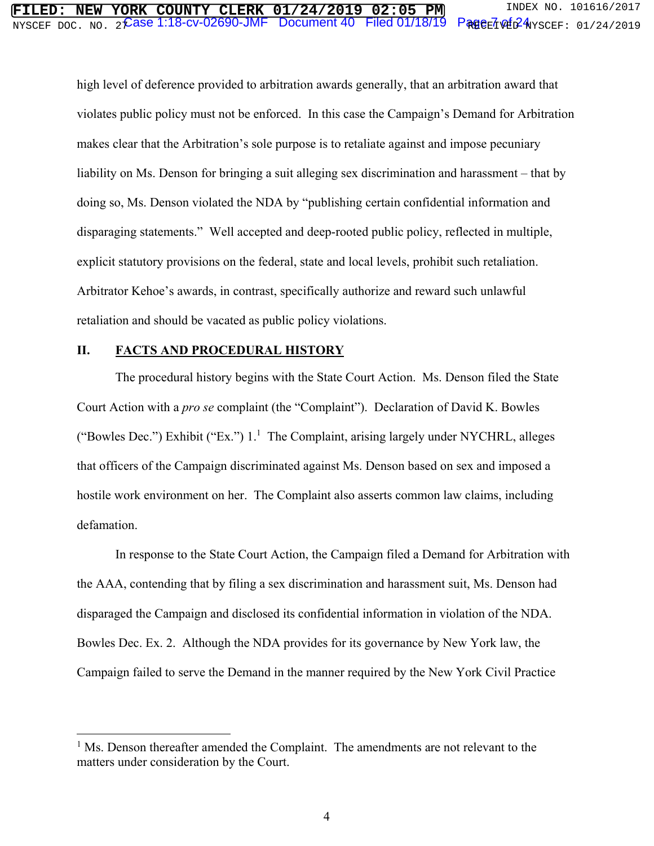#### $\mathcal E$ ase 1:18-cv-02690-JMF  $\:$  Document 40  $\:$  Filed 01/18/19  $\:$  Page $_{\rm E}$ 7 of  $_{\rm E}$ 24 **FILED: NEW YORK COUNTY CLERK 01/24/2019 02:05 PM** INDEX NO. 101616/2017 NYSCEF DOC. NO. 22**ASE I.I8-CV-UZ69U-JMF DOCUMENI4U FIIECI UI/I8/I9 PRHOELV驻**FMYSCEF: 01/24/2019

high level of deference provided to arbitration awards generally, that an arbitration award that violates public policy must not be enforced. In this case the Campaign's Demand for Arbitration makes clear that the Arbitration's sole purpose is to retaliate against and impose pecuniary liability on Ms. Denson for bringing a suit alleging sex discrimination and harassment – that by doing so, Ms. Denson violated the NDA by "publishing certain confidential information and disparaging statements." Well accepted and deep-rooted public policy, reflected in multiple, explicit statutory provisions on the federal, state and local levels, prohibit such retaliation. Arbitrator Kehoe's awards, in contrast, specifically authorize and reward such unlawful retaliation and should be vacated as public policy violations.

#### **II. FACTS AND PROCEDURAL HISTORY**

 $\overline{a}$ 

 The procedural history begins with the State Court Action. Ms. Denson filed the State Court Action with a *pro se* complaint (the "Complaint"). Declaration of David K. Bowles ("Bowles Dec.") Exhibit ("Ex.")  $1<sup>1</sup>$  The Complaint, arising largely under NYCHRL, alleges that officers of the Campaign discriminated against Ms. Denson based on sex and imposed a hostile work environment on her. The Complaint also asserts common law claims, including defamation.

 In response to the State Court Action, the Campaign filed a Demand for Arbitration with the AAA, contending that by filing a sex discrimination and harassment suit, Ms. Denson had disparaged the Campaign and disclosed its confidential information in violation of the NDA. Bowles Dec. Ex. 2. Although the NDA provides for its governance by New York law, the Campaign failed to serve the Demand in the manner required by the New York Civil Practice

<sup>&</sup>lt;sup>1</sup> Ms. Denson thereafter amended the Complaint. The amendments are not relevant to the matters under consideration by the Court.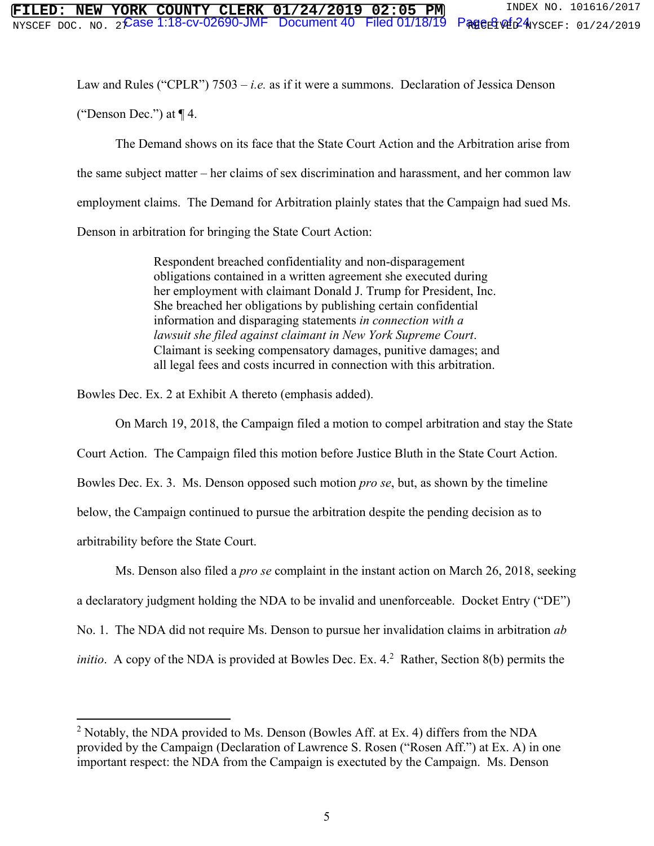Law and Rules ("CPLR") 7503 – *i.e.* as if it were a summons. Declaration of Jessica Denson

("Denson Dec.") at  $\P$  4.

 The Demand shows on its face that the State Court Action and the Arbitration arise from the same subject matter – her claims of sex discrimination and harassment, and her common law employment claims. The Demand for Arbitration plainly states that the Campaign had sued Ms. Denson in arbitration for bringing the State Court Action:

> Respondent breached confidentiality and non-disparagement obligations contained in a written agreement she executed during her employment with claimant Donald J. Trump for President, Inc. She breached her obligations by publishing certain confidential information and disparaging statements *in connection with a lawsuit she filed against claimant in New York Supreme Court*. Claimant is seeking compensatory damages, punitive damages; and all legal fees and costs incurred in connection with this arbitration.

Bowles Dec. Ex. 2 at Exhibit A thereto (emphasis added).

On March 19, 2018, the Campaign filed a motion to compel arbitration and stay the State

Court Action. The Campaign filed this motion before Justice Bluth in the State Court Action.

Bowles Dec. Ex. 3. Ms. Denson opposed such motion *pro se*, but, as shown by the timeline

below, the Campaign continued to pursue the arbitration despite the pending decision as to

arbitrability before the State Court.

1

Ms. Denson also filed a *pro se* complaint in the instant action on March 26, 2018, seeking

a declaratory judgment holding the NDA to be invalid and unenforceable. Docket Entry ("DE")

No. 1. The NDA did not require Ms. Denson to pursue her invalidation claims in arbitration *ab* 

*initio*. A copy of the NDA is provided at Bowles Dec. Ex. 4.<sup>2</sup> Rather, Section 8(b) permits the

<sup>&</sup>lt;sup>2</sup> Notably, the NDA provided to Ms. Denson (Bowles Aff. at Ex. 4) differs from the NDA provided by the Campaign (Declaration of Lawrence S. Rosen ("Rosen Aff.") at Ex. A) in one important respect: the NDA from the Campaign is exectuted by the Campaign. Ms. Denson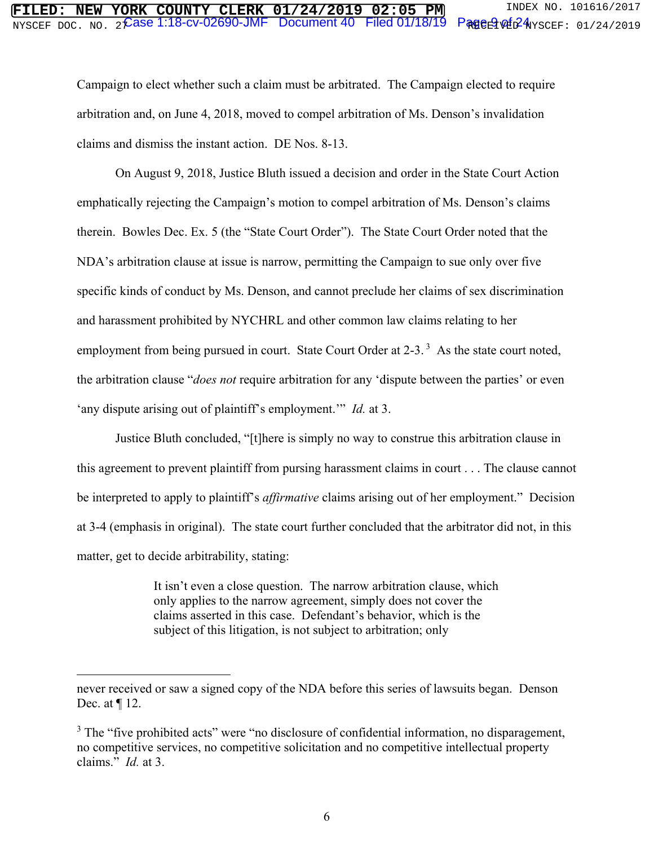# $\overline{\text{NTSCEPT DOC. NO. 2} }$   $\widehat{\text{Case 1:18-CV-02690-JMF }}$  Document 40  $\,$  Filed 01/18/19  $\,$  Page  $\oplus$   $\oplus$   $\oplus$   $\oplus$   $\oplus$   $\oplus$   $\oplus$   $\oplus$   $\oplus$   $\oplus$   $\oplus$   $\oplus$   $\oplus$   $\oplus$   $\oplus$   $\oplus$   $\oplus$   $\oplus$   $\oplus$   $\oplus$   $\oplus$   $\oplus$ **FIRE COUNTY CLERK 01/24/2019 02:05 PM** INDEX NO. 101616/2017

Campaign to elect whether such a claim must be arbitrated. The Campaign elected to require arbitration and, on June 4, 2018, moved to compel arbitration of Ms. Denson's invalidation claims and dismiss the instant action. DE Nos. 8-13.

 On August 9, 2018, Justice Bluth issued a decision and order in the State Court Action emphatically rejecting the Campaign's motion to compel arbitration of Ms. Denson's claims therein. Bowles Dec. Ex. 5 (the "State Court Order"). The State Court Order noted that the NDA's arbitration clause at issue is narrow, permitting the Campaign to sue only over five specific kinds of conduct by Ms. Denson, and cannot preclude her claims of sex discrimination and harassment prohibited by NYCHRL and other common law claims relating to her employment from being pursued in court. State Court Order at 2-3.<sup>3</sup> As the state court noted, the arbitration clause "*does not* require arbitration for any 'dispute between the parties' or even 'any dispute arising out of plaintiff's employment.'" *Id.* at 3.

 Justice Bluth concluded, "[t]here is simply no way to construe this arbitration clause in this agreement to prevent plaintiff from pursing harassment claims in court . . . The clause cannot be interpreted to apply to plaintiff's *affirmative* claims arising out of her employment." Decision at 3-4 (emphasis in original). The state court further concluded that the arbitrator did not, in this matter, get to decide arbitrability, stating:

> It isn't even a close question. The narrow arbitration clause, which only applies to the narrow agreement, simply does not cover the claims asserted in this case. Defendant's behavior, which is the subject of this litigation, is not subject to arbitration; only

 $\overline{a}$ 

never received or saw a signed copy of the NDA before this series of lawsuits began. Denson Dec. at ¶ 12.

 $3$  The "five prohibited acts" were "no disclosure of confidential information, no disparagement, no competitive services, no competitive solicitation and no competitive intellectual property claims." *Id.* at 3.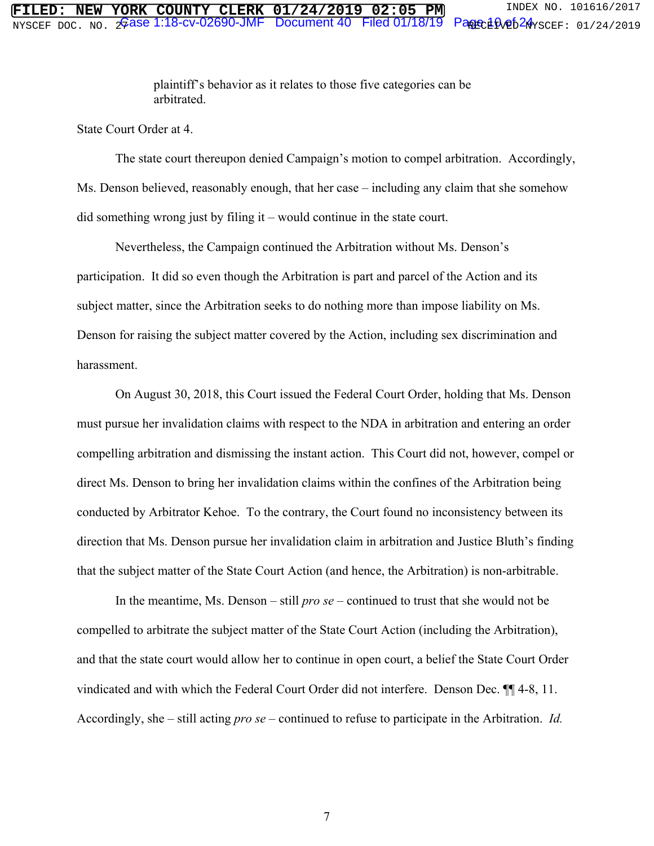plaintiff's behavior as it relates to those five categories can be arbitrated.

State Court Order at 4.

 The state court thereupon denied Campaign's motion to compel arbitration. Accordingly, Ms. Denson believed, reasonably enough, that her case – including any claim that she somehow did something wrong just by filing it – would continue in the state court.

 Nevertheless, the Campaign continued the Arbitration without Ms. Denson's participation. It did so even though the Arbitration is part and parcel of the Action and its subject matter, since the Arbitration seeks to do nothing more than impose liability on Ms. Denson for raising the subject matter covered by the Action, including sex discrimination and harassment.

 On August 30, 2018, this Court issued the Federal Court Order, holding that Ms. Denson must pursue her invalidation claims with respect to the NDA in arbitration and entering an order compelling arbitration and dismissing the instant action. This Court did not, however, compel or direct Ms. Denson to bring her invalidation claims within the confines of the Arbitration being conducted by Arbitrator Kehoe. To the contrary, the Court found no inconsistency between its direction that Ms. Denson pursue her invalidation claim in arbitration and Justice Bluth's finding that the subject matter of the State Court Action (and hence, the Arbitration) is non-arbitrable.

 In the meantime, Ms. Denson – still *pro se* – continued to trust that she would not be compelled to arbitrate the subject matter of the State Court Action (including the Arbitration), and that the state court would allow her to continue in open court, a belief the State Court Order vindicated and with which the Federal Court Order did not interfere. Denson Dec. ¶¶ 4-8, 11. Accordingly, she – still acting *pro se* – continued to refuse to participate in the Arbitration. *Id.*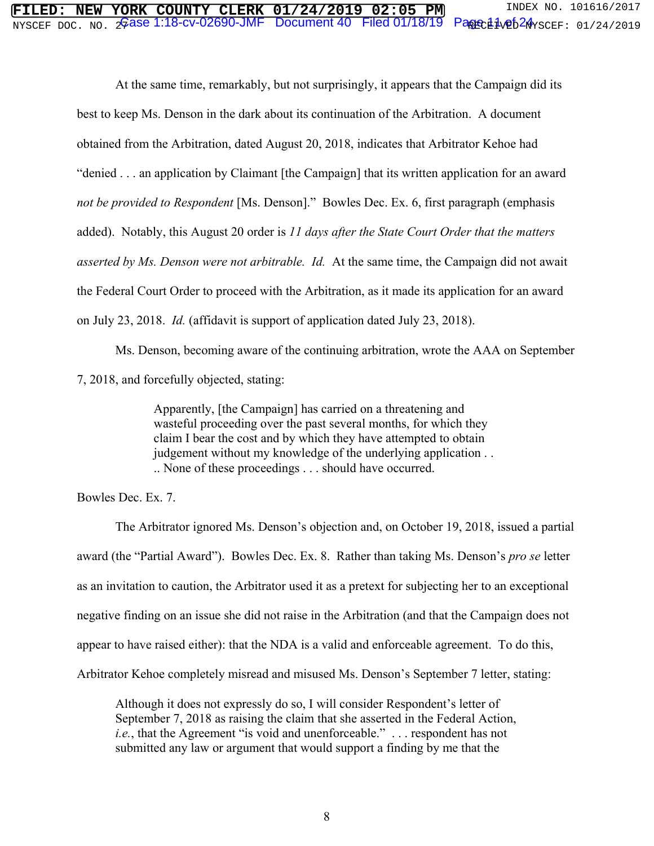# $\overline{\text{MISCEF DOC. NO. 26}}$ ase 1:18-cv-02690-JMF Document 40 Filed 01/18/19 Page  $11\%$ 24  $\gamma$ scef: 01/24/2019 **FILED: NEW YORK COUNTY CLERK 01/24/2019 02:05 PM** INDEX NO. 101616/2017<br>NYSCEF DOC. NO. 2Gase 1:18-CV-02690-JMF Document 40 Filed 01/18/19 Page 1.1ve524yscef: 01/24/2019

 At the same time, remarkably, but not surprisingly, it appears that the Campaign did its best to keep Ms. Denson in the dark about its continuation of the Arbitration. A document obtained from the Arbitration, dated August 20, 2018, indicates that Arbitrator Kehoe had "denied . . . an application by Claimant [the Campaign] that its written application for an award *not be provided to Respondent* [Ms. Denson]." Bowles Dec. Ex. 6, first paragraph (emphasis added). Notably, this August 20 order is *11 days after the State Court Order that the matters asserted by Ms. Denson were not arbitrable. Id.* At the same time, the Campaign did not await the Federal Court Order to proceed with the Arbitration, as it made its application for an award on July 23, 2018. *Id.* (affidavit is support of application dated July 23, 2018).

 Ms. Denson, becoming aware of the continuing arbitration, wrote the AAA on September 7, 2018, and forcefully objected, stating:

> Apparently, [the Campaign] has carried on a threatening and wasteful proceeding over the past several months, for which they claim I bear the cost and by which they have attempted to obtain judgement without my knowledge of the underlying application . . .. None of these proceedings . . . should have occurred.

Bowles Dec. Ex. 7.

 The Arbitrator ignored Ms. Denson's objection and, on October 19, 2018, issued a partial award (the "Partial Award"). Bowles Dec. Ex. 8. Rather than taking Ms. Denson's *pro se* letter as an invitation to caution, the Arbitrator used it as a pretext for subjecting her to an exceptional negative finding on an issue she did not raise in the Arbitration (and that the Campaign does not appear to have raised either): that the NDA is a valid and enforceable agreement. To do this, Arbitrator Kehoe completely misread and misused Ms. Denson's September 7 letter, stating:

Although it does not expressly do so, I will consider Respondent's letter of September 7, 2018 as raising the claim that she asserted in the Federal Action, *i.e.*, that the Agreement "is void and unenforceable." . . . respondent has not submitted any law or argument that would support a finding by me that the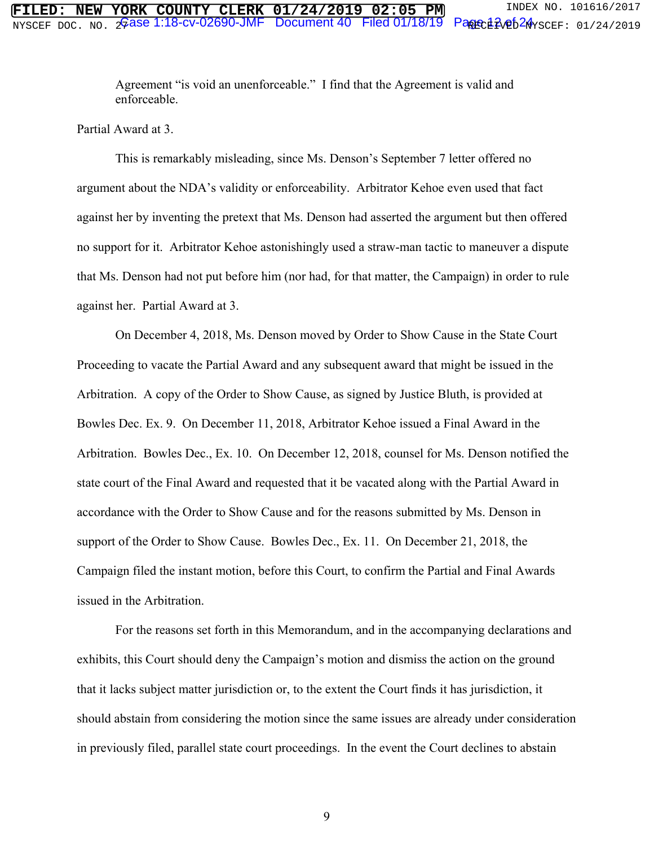Agreement "is void an unenforceable." I find that the Agreement is valid and enforceable.

Partial Award at 3.

 This is remarkably misleading, since Ms. Denson's September 7 letter offered no argument about the NDA's validity or enforceability. Arbitrator Kehoe even used that fact against her by inventing the pretext that Ms. Denson had asserted the argument but then offered no support for it. Arbitrator Kehoe astonishingly used a straw-man tactic to maneuver a dispute that Ms. Denson had not put before him (nor had, for that matter, the Campaign) in order to rule against her. Partial Award at 3.

On December 4, 2018, Ms. Denson moved by Order to Show Cause in the State Court Proceeding to vacate the Partial Award and any subsequent award that might be issued in the Arbitration. A copy of the Order to Show Cause, as signed by Justice Bluth, is provided at Bowles Dec. Ex. 9. On December 11, 2018, Arbitrator Kehoe issued a Final Award in the Arbitration. Bowles Dec., Ex. 10. On December 12, 2018, counsel for Ms. Denson notified the state court of the Final Award and requested that it be vacated along with the Partial Award in accordance with the Order to Show Cause and for the reasons submitted by Ms. Denson in support of the Order to Show Cause. Bowles Dec., Ex. 11. On December 21, 2018, the Campaign filed the instant motion, before this Court, to confirm the Partial and Final Awards issued in the Arbitration.

For the reasons set forth in this Memorandum, and in the accompanying declarations and exhibits, this Court should deny the Campaign's motion and dismiss the action on the ground that it lacks subject matter jurisdiction or, to the extent the Court finds it has jurisdiction, it should abstain from considering the motion since the same issues are already under consideration in previously filed, parallel state court proceedings. In the event the Court declines to abstain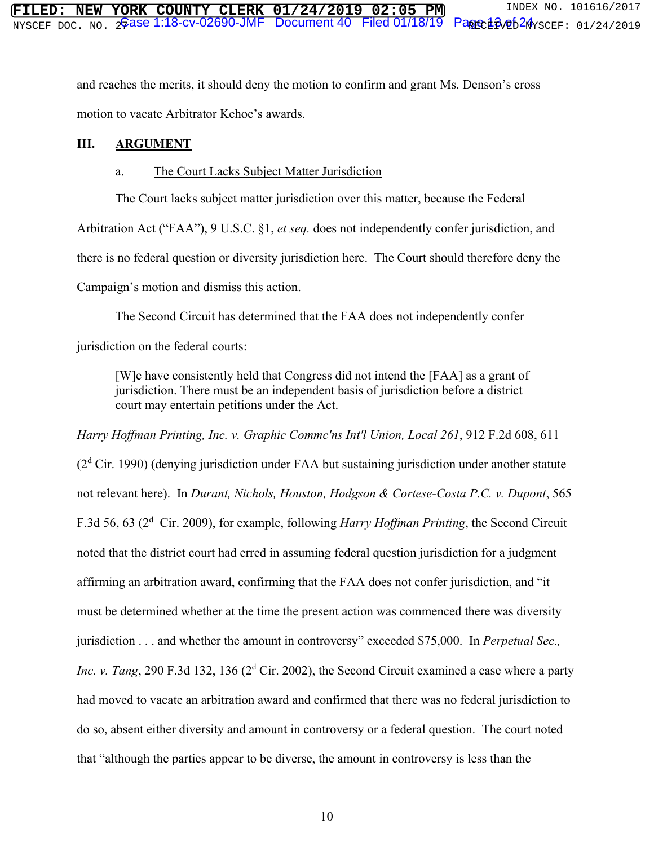and reaches the merits, it should deny the motion to confirm and grant Ms. Denson's cross motion to vacate Arbitrator Kehoe's awards.

# **III. ARGUMENT**

### a. The Court Lacks Subject Matter Jurisdiction

The Court lacks subject matter jurisdiction over this matter, because the Federal

Arbitration Act ("FAA"), 9 U.S.C. §1, *et seq.* does not independently confer jurisdiction, and there is no federal question or diversity jurisdiction here. The Court should therefore deny the Campaign's motion and dismiss this action.

The Second Circuit has determined that the FAA does not independently confer jurisdiction on the federal courts:

[W]e have consistently held that Congress did not intend the [FAA] as a grant of jurisdiction. There must be an independent basis of jurisdiction before a district court may entertain petitions under the Act.

*Harry Hoffman Printing, Inc. v. Graphic Commc'ns Int'l Union, Local 261*, 912 F.2d 608, 611 (2<sup>d</sup> Cir. 1990) (denying jurisdiction under FAA but sustaining jurisdiction under another statute not relevant here). In *Durant, Nichols, Houston, Hodgson & Cortese-Costa P.C. v. Dupont*, 565 F.3d 56, 63 (2<sup>d</sup> Cir. 2009), for example, following *Harry Hoffman Printing*, the Second Circuit noted that the district court had erred in assuming federal question jurisdiction for a judgment affirming an arbitration award, confirming that the FAA does not confer jurisdiction, and "it must be determined whether at the time the present action was commenced there was diversity jurisdiction . . . and whether the amount in controversy" exceeded \$75,000. In *Perpetual Sec.,*  Inc. v. Tang, 290 F.3d 132, 136 (2<sup>d</sup> Cir. 2002), the Second Circuit examined a case where a party had moved to vacate an arbitration award and confirmed that there was no federal jurisdiction to do so, absent either diversity and amount in controversy or a federal question. The court noted that "although the parties appear to be diverse, the amount in controversy is less than the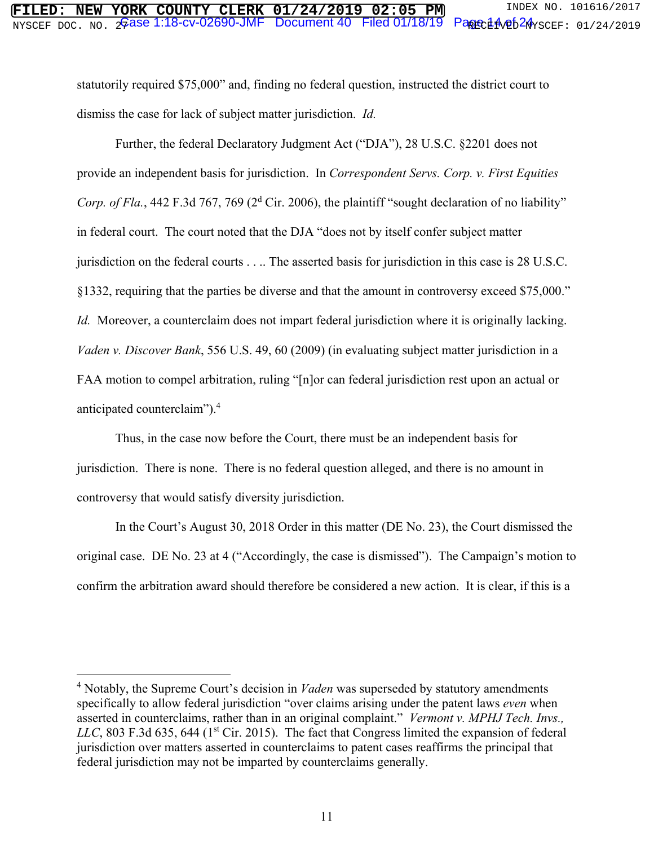statutorily required \$75,000" and, finding no federal question, instructed the district court to dismiss the case for lack of subject matter jurisdiction. *Id.*

Further, the federal Declaratory Judgment Act ("DJA"), 28 U.S.C. §2201 does not provide an independent basis for jurisdiction. In *Correspondent Servs. Corp. v. First Equities*  Corp. of Fla., 442 F.3d 767, 769 ( $2<sup>d</sup>$  Cir. 2006), the plaintiff "sought declaration of no liability" in federal court. The court noted that the DJA "does not by itself confer subject matter jurisdiction on the federal courts . . .. The asserted basis for jurisdiction in this case is 28 U.S.C. §1332, requiring that the parties be diverse and that the amount in controversy exceed \$75,000." *Id.* Moreover, a counterclaim does not impart federal jurisdiction where it is originally lacking. *Vaden v. Discover Bank*, 556 U.S. 49, 60 (2009) (in evaluating subject matter jurisdiction in a FAA motion to compel arbitration, ruling "[n]or can federal jurisdiction rest upon an actual or anticipated counterclaim").<sup>4</sup>

Thus, in the case now before the Court, there must be an independent basis for jurisdiction. There is none. There is no federal question alleged, and there is no amount in controversy that would satisfy diversity jurisdiction.

In the Court's August 30, 2018 Order in this matter (DE No. 23), the Court dismissed the original case. DE No. 23 at 4 ("Accordingly, the case is dismissed"). The Campaign's motion to confirm the arbitration award should therefore be considered a new action. It is clear, if this is a

 $\overline{a}$ 

<sup>&</sup>lt;sup>4</sup> Notably, the Supreme Court's decision in *Vaden* was superseded by statutory amendments specifically to allow federal jurisdiction "over claims arising under the patent laws *even* when asserted in counterclaims, rather than in an original complaint." *Vermont v. MPHJ Tech. Invs., LLC*, 803 F.3d 635, 644 (1<sup>st</sup> Cir. 2015). The fact that Congress limited the expansion of federal jurisdiction over matters asserted in counterclaims to patent cases reaffirms the principal that federal jurisdiction may not be imparted by counterclaims generally.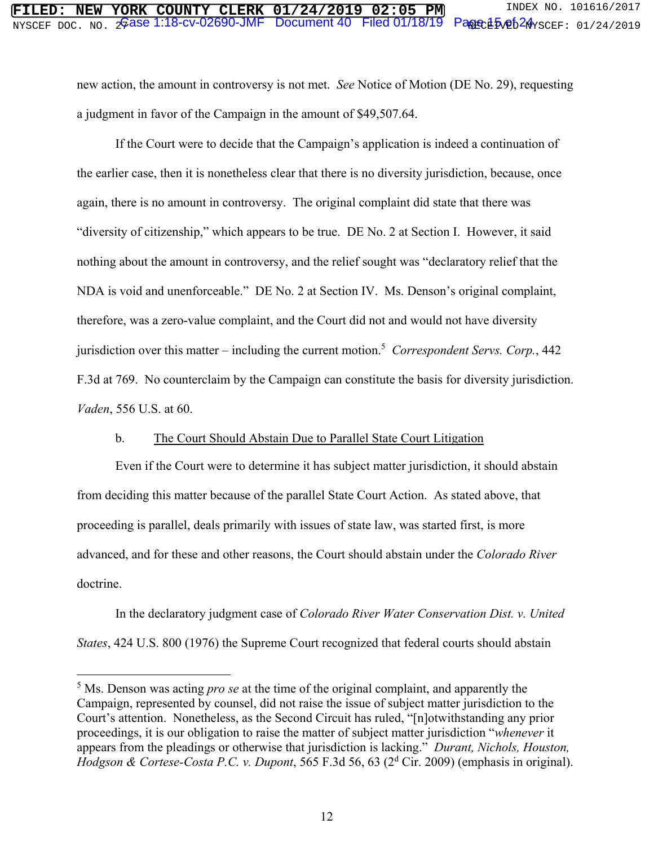new action, the amount in controversy is not met. *See* Notice of Motion (DE No. 29), requesting a judgment in favor of the Campaign in the amount of \$49,507.64.

 If the Court were to decide that the Campaign's application is indeed a continuation of the earlier case, then it is nonetheless clear that there is no diversity jurisdiction, because, once again, there is no amount in controversy. The original complaint did state that there was "diversity of citizenship," which appears to be true. DE No. 2 at Section I. However, it said nothing about the amount in controversy, and the relief sought was "declaratory relief that the NDA is void and unenforceable." DE No. 2 at Section IV. Ms. Denson's original complaint, therefore, was a zero-value complaint, and the Court did not and would not have diversity jurisdiction over this matter – including the current motion.<sup>5</sup> Correspondent Servs. Corp., 442 F.3d at 769. No counterclaim by the Campaign can constitute the basis for diversity jurisdiction. *Vaden*, 556 U.S. at 60.

#### b. The Court Should Abstain Due to Parallel State Court Litigation

Even if the Court were to determine it has subject matter jurisdiction, it should abstain from deciding this matter because of the parallel State Court Action. As stated above, that proceeding is parallel, deals primarily with issues of state law, was started first, is more advanced, and for these and other reasons, the Court should abstain under the *Colorado River* doctrine.

In the declaratory judgment case of *Colorado River Water Conservation Dist. v. United States*, 424 U.S. 800 (1976) the Supreme Court recognized that federal courts should abstain

 $\overline{a}$ 

<sup>&</sup>lt;sup>5</sup> Ms. Denson was acting *pro se* at the time of the original complaint, and apparently the Campaign, represented by counsel, did not raise the issue of subject matter jurisdiction to the Court's attention. Nonetheless, as the Second Circuit has ruled, "[n]otwithstanding any prior proceedings, it is our obligation to raise the matter of subject matter jurisdiction "*whenever* it appears from the pleadings or otherwise that jurisdiction is lacking." *Durant, Nichols, Houston,*  Hodgson & Cortese-Costa P.C. v. Dupont, 565 F.3d 56, 63 (2<sup>d</sup> Cir. 2009) (emphasis in original).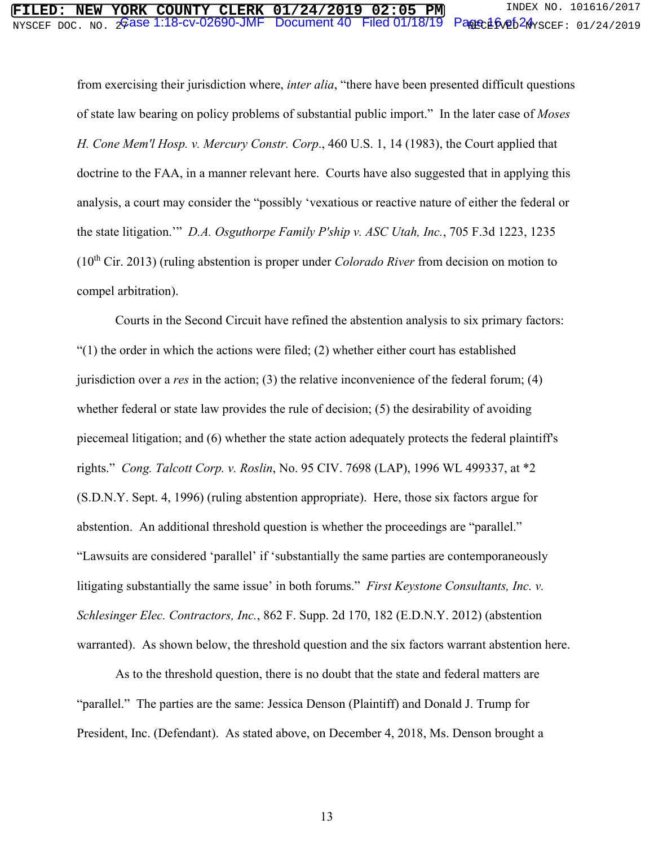# $\overline{\text{MISCEPT DOC. NO. 26}}$ ase 1:18-cv-02690-JMF Document 40 Filed 01/18/19 Page  $16$ ve $5$ 2 $4$ yscef: 01/24/2019 **FORK COUNTY CLERK 01/24/2019 02:05 PM** INDEX NO. 101616/2017<br>2Gase 1:18-cv-02690-JMF Document 40 Filed 01/18/19 Pane 16.04/26 Pane 1:24/2019

from exercising their jurisdiction where, *inter alia*, "there have been presented difficult questions of state law bearing on policy problems of substantial public import." In the later case of *Moses H. Cone Mem'l Hosp. v. Mercury Constr. Corp*., 460 U.S. 1, 14 (1983), the Court applied that doctrine to the FAA, in a manner relevant here. Courts have also suggested that in applying this analysis, a court may consider the "possibly 'vexatious or reactive nature of either the federal or the state litigation.'" *D.A. Osguthorpe Family P'ship v. ASC Utah, Inc.*, 705 F.3d 1223, 1235 (10th Cir. 2013) (ruling abstention is proper under *Colorado River* from decision on motion to compel arbitration).

Courts in the Second Circuit have refined the abstention analysis to six primary factors:  $(1)$  the order in which the actions were filed; (2) whether either court has established jurisdiction over a *res* in the action; (3) the relative inconvenience of the federal forum; (4) whether federal or state law provides the rule of decision; (5) the desirability of avoiding piecemeal litigation; and (6) whether the state action adequately protects the federal plaintiff's rights." *Cong. Talcott Corp. v. Roslin*, No. 95 CIV. 7698 (LAP), 1996 WL 499337, at \*2 (S.D.N.Y. Sept. 4, 1996) (ruling abstention appropriate). Here, those six factors argue for abstention. An additional threshold question is whether the proceedings are "parallel." "Lawsuits are considered 'parallel' if 'substantially the same parties are contemporaneously litigating substantially the same issue' in both forums." *First Keystone Consultants, Inc. v. Schlesinger Elec. Contractors, Inc.*, 862 F. Supp. 2d 170, 182 (E.D.N.Y. 2012) (abstention warranted). As shown below, the threshold question and the six factors warrant abstention here.

As to the threshold question, there is no doubt that the state and federal matters are "parallel." The parties are the same: Jessica Denson (Plaintiff) and Donald J. Trump for President, Inc. (Defendant). As stated above, on December 4, 2018, Ms. Denson brought a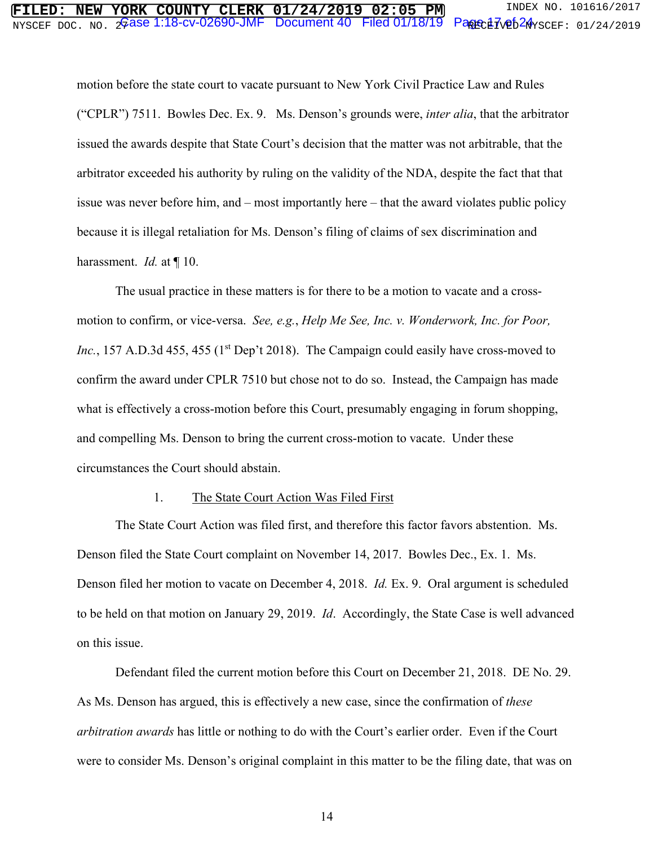# $\overline{\text{MISCEPT DOC. NO. 26}}$ ase 1:18-cv-02690-JMF Document 40 Filed 01/18/19 Page  $17$ ve $5$ 24  $\gamma$ scef: 01/24/2019 **FORK COUNTY CLERK 01/24/2019 02:05 PM** INDEX NO. 101616/2017<br>2 Gase 1:18-cv-02690-JMF Document 40 Filed 01/18/19 Pagec17ve624rscef: 01/24/2019

motion before the state court to vacate pursuant to New York Civil Practice Law and Rules ("CPLR") 7511. Bowles Dec. Ex. 9. Ms. Denson's grounds were, *inter alia*, that the arbitrator issued the awards despite that State Court's decision that the matter was not arbitrable, that the arbitrator exceeded his authority by ruling on the validity of the NDA, despite the fact that that issue was never before him, and – most importantly here – that the award violates public policy because it is illegal retaliation for Ms. Denson's filing of claims of sex discrimination and harassment. *Id.* at  $\P$  10.

The usual practice in these matters is for there to be a motion to vacate and a crossmotion to confirm, or vice-versa. *See, e.g.*, *Help Me See, Inc. v. Wonderwork, Inc. for Poor, Inc.*, 157 A.D.3d 455, 455 (1<sup>st</sup> Dep't 2018). The Campaign could easily have cross-moved to confirm the award under CPLR 7510 but chose not to do so. Instead, the Campaign has made what is effectively a cross-motion before this Court, presumably engaging in forum shopping, and compelling Ms. Denson to bring the current cross-motion to vacate. Under these circumstances the Court should abstain.

#### 1. The State Court Action Was Filed First

The State Court Action was filed first, and therefore this factor favors abstention. Ms. Denson filed the State Court complaint on November 14, 2017. Bowles Dec., Ex. 1. Ms. Denson filed her motion to vacate on December 4, 2018. *Id.* Ex. 9. Oral argument is scheduled to be held on that motion on January 29, 2019. *Id*. Accordingly, the State Case is well advanced on this issue.

Defendant filed the current motion before this Court on December 21, 2018. DE No. 29. As Ms. Denson has argued, this is effectively a new case, since the confirmation of *these arbitration awards* has little or nothing to do with the Court's earlier order. Even if the Court were to consider Ms. Denson's original complaint in this matter to be the filing date, that was on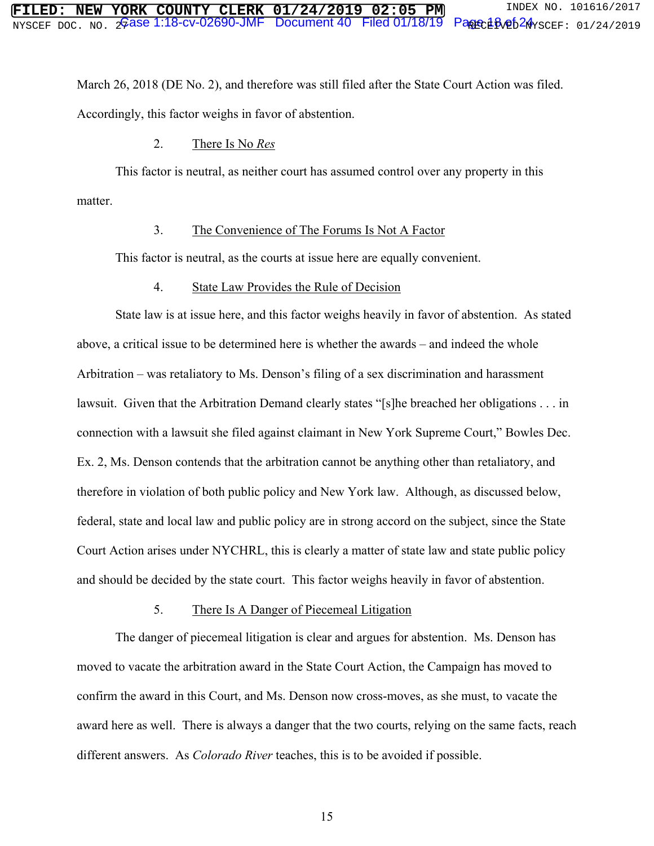March 26, 2018 (DE No. 2), and therefore was still filed after the State Court Action was filed. Accordingly, this factor weighs in favor of abstention.

#### 2. There Is No *Res*

This factor is neutral, as neither court has assumed control over any property in this matter.

#### 3. The Convenience of The Forums Is Not A Factor

This factor is neutral, as the courts at issue here are equally convenient.

#### 4. State Law Provides the Rule of Decision

State law is at issue here, and this factor weighs heavily in favor of abstention. As stated above, a critical issue to be determined here is whether the awards – and indeed the whole Arbitration – was retaliatory to Ms. Denson's filing of a sex discrimination and harassment lawsuit. Given that the Arbitration Demand clearly states "[s]he breached her obligations . . . in connection with a lawsuit she filed against claimant in New York Supreme Court," Bowles Dec. Ex. 2, Ms. Denson contends that the arbitration cannot be anything other than retaliatory, and therefore in violation of both public policy and New York law. Although, as discussed below, federal, state and local law and public policy are in strong accord on the subject, since the State Court Action arises under NYCHRL, this is clearly a matter of state law and state public policy and should be decided by the state court. This factor weighs heavily in favor of abstention.

#### 5. There Is A Danger of Piecemeal Litigation

The danger of piecemeal litigation is clear and argues for abstention. Ms. Denson has moved to vacate the arbitration award in the State Court Action, the Campaign has moved to confirm the award in this Court, and Ms. Denson now cross-moves, as she must, to vacate the award here as well. There is always a danger that the two courts, relying on the same facts, reach different answers. As *Colorado River* teaches, this is to be avoided if possible.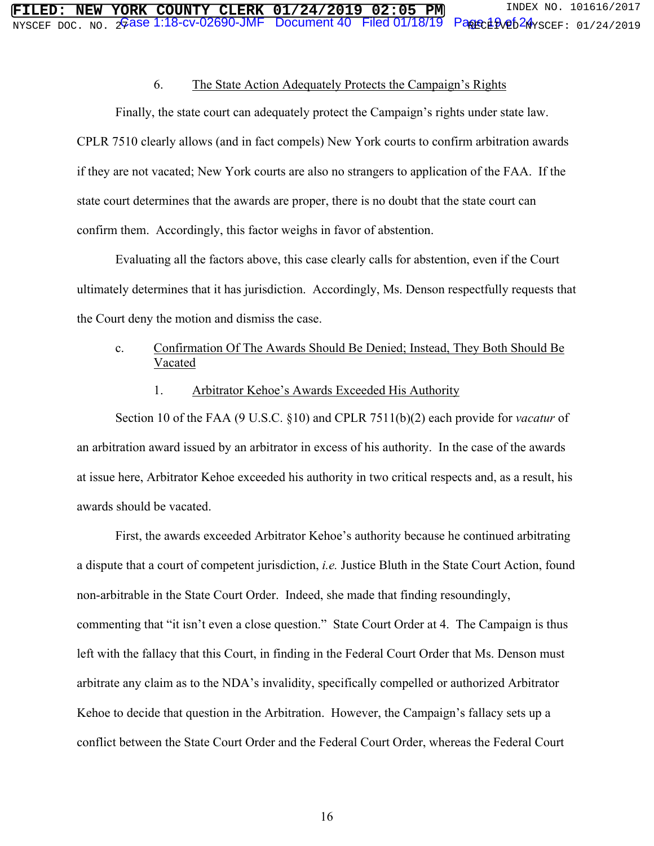#### 6. The State Action Adequately Protects the Campaign's Rights

Finally, the state court can adequately protect the Campaign's rights under state law. CPLR 7510 clearly allows (and in fact compels) New York courts to confirm arbitration awards if they are not vacated; New York courts are also no strangers to application of the FAA. If the state court determines that the awards are proper, there is no doubt that the state court can confirm them. Accordingly, this factor weighs in favor of abstention.

Evaluating all the factors above, this case clearly calls for abstention, even if the Court ultimately determines that it has jurisdiction. Accordingly, Ms. Denson respectfully requests that the Court deny the motion and dismiss the case.

### c. Confirmation Of The Awards Should Be Denied; Instead, They Both Should Be Vacated

#### 1. Arbitrator Kehoe's Awards Exceeded His Authority

Section 10 of the FAA (9 U.S.C. §10) and CPLR 7511(b)(2) each provide for *vacatur* of an arbitration award issued by an arbitrator in excess of his authority. In the case of the awards at issue here, Arbitrator Kehoe exceeded his authority in two critical respects and, as a result, his awards should be vacated.

First, the awards exceeded Arbitrator Kehoe's authority because he continued arbitrating a dispute that a court of competent jurisdiction, *i.e.* Justice Bluth in the State Court Action, found non-arbitrable in the State Court Order. Indeed, she made that finding resoundingly, commenting that "it isn't even a close question." State Court Order at 4. The Campaign is thus left with the fallacy that this Court, in finding in the Federal Court Order that Ms. Denson must arbitrate any claim as to the NDA's invalidity, specifically compelled or authorized Arbitrator Kehoe to decide that question in the Arbitration. However, the Campaign's fallacy sets up a conflict between the State Court Order and the Federal Court Order, whereas the Federal Court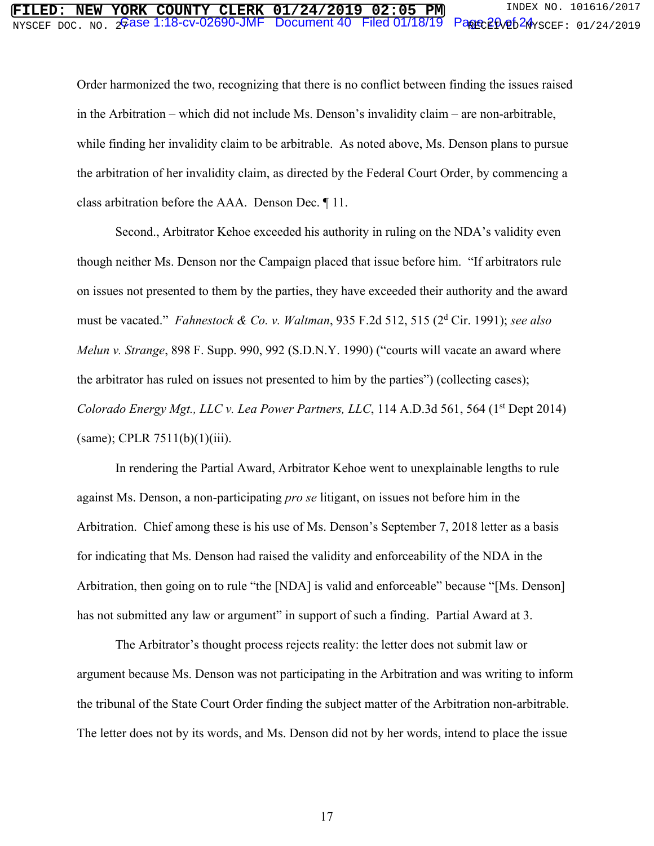# $\overline{\text{MISCEPT DOC. NO. 26}}$ ase 1:18-cv-02690-JMF Document 40 Filed 01/18/19 Page 2 $\text{0.4}$ scef: 01/24/2019 **FORK COUNTY CLERK 01/24/2019 02:05 PM** INDEX NO. 101616/2017<br>2Gase 1:18-cv-02690-JMF Document 40 Filed 01/18/19 Parre20op62Ayscer: 01/24/2019

Order harmonized the two, recognizing that there is no conflict between finding the issues raised in the Arbitration – which did not include Ms. Denson's invalidity claim – are non-arbitrable, while finding her invalidity claim to be arbitrable. As noted above, Ms. Denson plans to pursue the arbitration of her invalidity claim, as directed by the Federal Court Order, by commencing a class arbitration before the AAA. Denson Dec. ¶ 11.

Second., Arbitrator Kehoe exceeded his authority in ruling on the NDA's validity even though neither Ms. Denson nor the Campaign placed that issue before him. "If arbitrators rule on issues not presented to them by the parties, they have exceeded their authority and the award must be vacated." *Fahnestock & Co. v. Waltman*, 935 F.2d 512, 515 (2<sup>d</sup> Cir. 1991); *see also Melun v. Strange*, 898 F. Supp. 990, 992 (S.D.N.Y. 1990) ("courts will vacate an award where the arbitrator has ruled on issues not presented to him by the parties") (collecting cases); *Colorado Energy Mgt., LLC v. Lea Power Partners, LLC,* 114 A.D.3d 561, 564 (1<sup>st</sup> Dept 2014)  $(same)$ ; CPLR 7511(b)(1)(iii).

In rendering the Partial Award, Arbitrator Kehoe went to unexplainable lengths to rule against Ms. Denson, a non-participating *pro se* litigant, on issues not before him in the Arbitration. Chief among these is his use of Ms. Denson's September 7, 2018 letter as a basis for indicating that Ms. Denson had raised the validity and enforceability of the NDA in the Arbitration, then going on to rule "the [NDA] is valid and enforceable" because "[Ms. Denson] has not submitted any law or argument" in support of such a finding. Partial Award at 3.

The Arbitrator's thought process rejects reality: the letter does not submit law or argument because Ms. Denson was not participating in the Arbitration and was writing to inform the tribunal of the State Court Order finding the subject matter of the Arbitration non-arbitrable. The letter does not by its words, and Ms. Denson did not by her words, intend to place the issue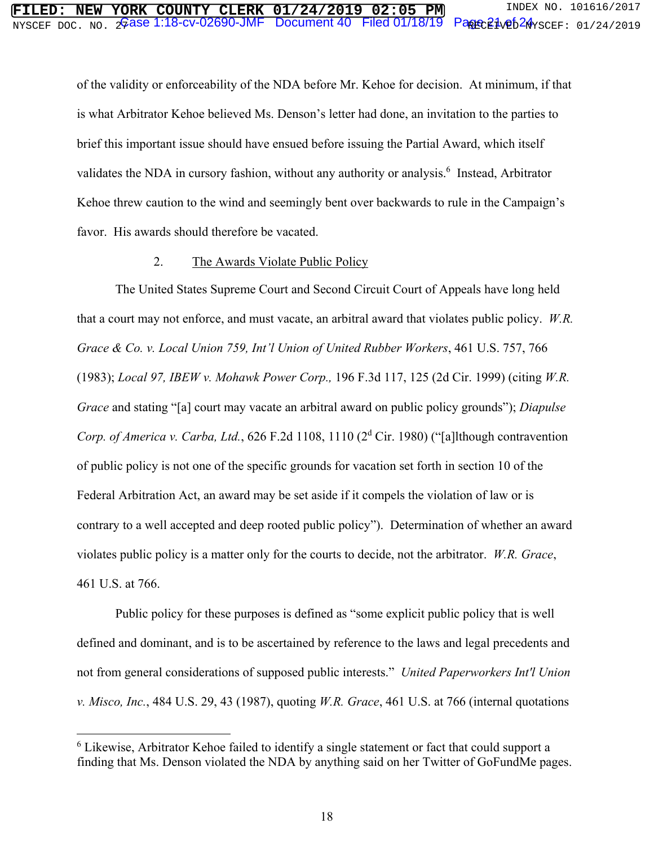of the validity or enforceability of the NDA before Mr. Kehoe for decision. At minimum, if that is what Arbitrator Kehoe believed Ms. Denson's letter had done, an invitation to the parties to brief this important issue should have ensued before issuing the Partial Award, which itself validates the NDA in cursory fashion, without any authority or analysis.<sup>6</sup> Instead, Arbitrator Kehoe threw caution to the wind and seemingly bent over backwards to rule in the Campaign's favor. His awards should therefore be vacated.

#### 2. The Awards Violate Public Policy

The United States Supreme Court and Second Circuit Court of Appeals have long held that a court may not enforce, and must vacate, an arbitral award that violates public policy. *W.R. Grace & Co. v. Local Union 759, Int'l Union of United Rubber Workers*, 461 U.S. 757, 766 (1983); *Local 97, IBEW v. Mohawk Power Corp.,* 196 F.3d 117, 125 (2d Cir. 1999) (citing *W.R. Grace* and stating "[a] court may vacate an arbitral award on public policy grounds"); *Diapulse*  Corp. of America v. Carba, Ltd., 626 F.2d 1108, 1110 (2<sup>d</sup> Cir. 1980) ("[a]lthough contravention of public policy is not one of the specific grounds for vacation set forth in section 10 of the Federal Arbitration Act, an award may be set aside if it compels the violation of law or is contrary to a well accepted and deep rooted public policy"). Determination of whether an award violates public policy is a matter only for the courts to decide, not the arbitrator. *W.R. Grace*, 461 U.S. at 766.

Public policy for these purposes is defined as "some explicit public policy that is well defined and dominant, and is to be ascertained by reference to the laws and legal precedents and not from general considerations of supposed public interests." *United Paperworkers Int'l Union v. Misco, Inc.*, 484 U.S. 29, 43 (1987), quoting *W.R. Grace*, 461 U.S. at 766 (internal quotations

 $\overline{a}$ 

<sup>&</sup>lt;sup>6</sup> Likewise, Arbitrator Kehoe failed to identify a single statement or fact that could support a finding that Ms. Denson violated the NDA by anything said on her Twitter of GoFundMe pages.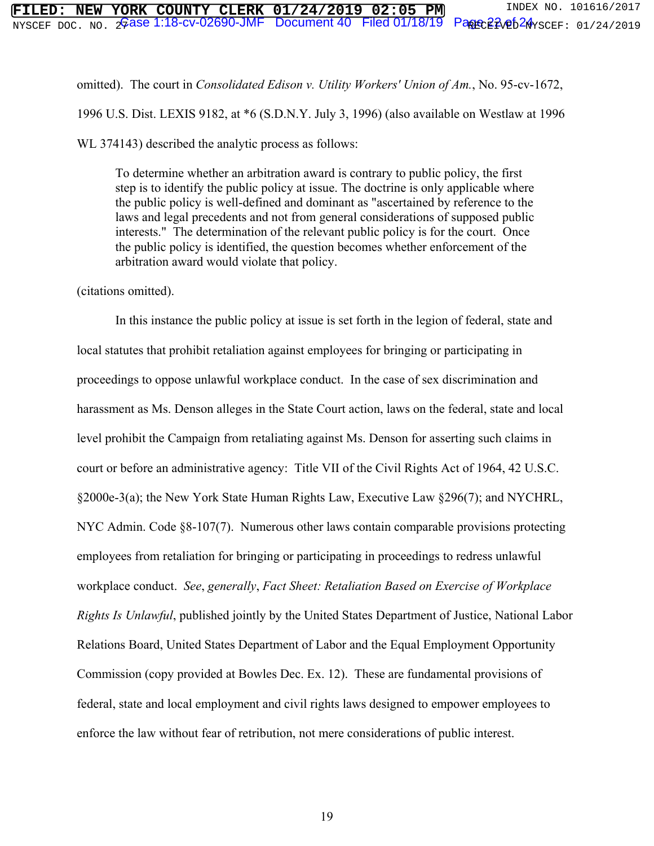omitted). The court in *Consolidated Edison v. Utility Workers' Union of Am.*, No. 95-cv-1672, 1996 U.S. Dist. LEXIS 9182, at \*6 (S.D.N.Y. July 3, 1996) (also available on Westlaw at 1996

WL 374143) described the analytic process as follows:

To determine whether an arbitration award is contrary to public policy, the first step is to identify the public policy at issue. The doctrine is only applicable where the public policy is well-defined and dominant as "ascertained by reference to the laws and legal precedents and not from general considerations of supposed public interests." The determination of the relevant public policy is for the court. Once the public policy is identified, the question becomes whether enforcement of the arbitration award would violate that policy.

(citations omitted).

In this instance the public policy at issue is set forth in the legion of federal, state and local statutes that prohibit retaliation against employees for bringing or participating in proceedings to oppose unlawful workplace conduct. In the case of sex discrimination and harassment as Ms. Denson alleges in the State Court action, laws on the federal, state and local level prohibit the Campaign from retaliating against Ms. Denson for asserting such claims in court or before an administrative agency: Title VII of the Civil Rights Act of 1964, 42 U.S.C. §2000e-3(a); the New York State Human Rights Law, Executive Law §296(7); and NYCHRL, NYC Admin. Code §8-107(7). Numerous other laws contain comparable provisions protecting employees from retaliation for bringing or participating in proceedings to redress unlawful workplace conduct. *See*, *generally*, *Fact Sheet: Retaliation Based on Exercise of Workplace Rights Is Unlawful*, published jointly by the United States Department of Justice, National Labor Relations Board, United States Department of Labor and the Equal Employment Opportunity Commission (copy provided at Bowles Dec. Ex. 12). These are fundamental provisions of federal, state and local employment and civil rights laws designed to empower employees to enforce the law without fear of retribution, not mere considerations of public interest.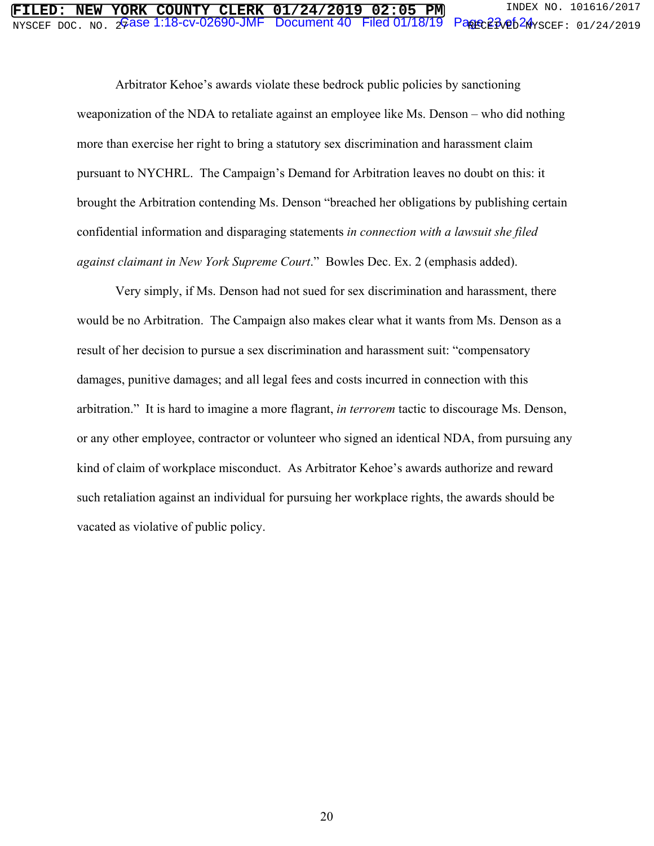# $\overline{\text{MISCEPT DOC. NO. 26}}$ ase 1:18-cv-02690-JMF Document 40 Filed 01/18/19 Page 23  $Q_{\text{XSCEF: 01/24/2019}}$ **FORK COUNTY CLERK 01/24/2019 02:05 PM** INDEX NO. 101616/2017<br>Gase 1:18-cv-02690-JMF Document 40 Filed 01/18/19 Pape 23/05/24 scrr: 01/24/2019

Arbitrator Kehoe's awards violate these bedrock public policies by sanctioning weaponization of the NDA to retaliate against an employee like Ms. Denson – who did nothing more than exercise her right to bring a statutory sex discrimination and harassment claim pursuant to NYCHRL. The Campaign's Demand for Arbitration leaves no doubt on this: it brought the Arbitration contending Ms. Denson "breached her obligations by publishing certain confidential information and disparaging statements *in connection with a lawsuit she filed against claimant in New York Supreme Court*." Bowles Dec. Ex. 2 (emphasis added).

Very simply, if Ms. Denson had not sued for sex discrimination and harassment, there would be no Arbitration. The Campaign also makes clear what it wants from Ms. Denson as a result of her decision to pursue a sex discrimination and harassment suit: "compensatory damages, punitive damages; and all legal fees and costs incurred in connection with this arbitration." It is hard to imagine a more flagrant, *in terrorem* tactic to discourage Ms. Denson, or any other employee, contractor or volunteer who signed an identical NDA, from pursuing any kind of claim of workplace misconduct. As Arbitrator Kehoe's awards authorize and reward such retaliation against an individual for pursuing her workplace rights, the awards should be vacated as violative of public policy.